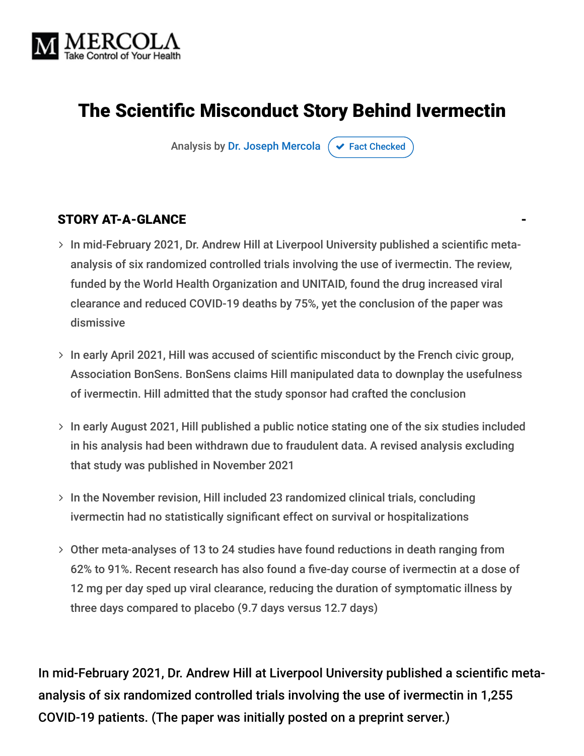

# The Scientific Misconduct Story Behind Ivermectin

Analysis by [Dr. Joseph Mercola](https://www.mercola.com/forms/background.htm)  $\sigma$  [Fact Checked](javascript:void(0))

### STORY AT-A-GLANCE

- > In mid-February 2021, Dr. Andrew Hill at Liverpool University published a scientific metaanalysis of six randomized controlled trials involving the use of ivermectin. The review, funded by the World Health Organization and UNITAID, found the drug increased viral clearance and reduced COVID-19 deaths by 75%, yet the conclusion of the paper was dismissive
- $>$  In early April 2021, Hill was accused of scientific misconduct by the French civic group, Association BonSens. BonSens claims Hill manipulated data to downplay the usefulness of ivermectin. Hill admitted that the study sponsor had crafted the conclusion
- > In early August 2021, Hill published a public notice stating one of the six studies included in his analysis had been withdrawn due to fraudulent data. A revised analysis excluding that study was published in November 2021
- $>$  In the November revision, Hill included 23 randomized clinical trials, concluding ivermectin had no statistically significant effect on survival or hospitalizations
- Other meta-analyses of 13 to 24 studies have found reductions in death ranging from 62% to 91%. Recent research has also found a five-day course of ivermectin at a dose of 12 mg per day sped up viral clearance, reducing the duration of symptomatic illness by three days compared to placebo (9.7 days versus 12.7 days)

In mid-February 2021, Dr. Andrew Hill at Liverpool University published a scientific metaanalysis of six randomized controlled trials involving the use of ivermectin in 1,255 COVID-19 patients. (The paper was initially posted on a preprint server.)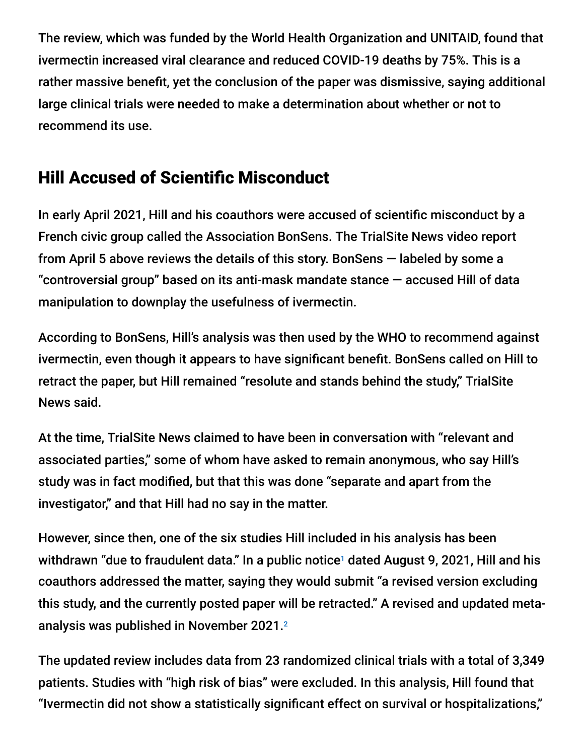The review, which was funded by the World Health Organization and UNITAID, found that ivermectin increased viral clearance and reduced COVID-19 deaths by 75%. This is a rather massive benefit, yet the conclusion of the paper was dismissive, saying additional large clinical trials were needed to make a determination about whether or not to recommend its use.

## Hill Accused of Scientific Misconduct

In early April 2021, Hill and his coauthors were accused of scientific misconduct by a French civic group called the Association BonSens. The TrialSite News video report from April 5 above reviews the details of this story. BonSens — labeled by some a "controversial group" based on its anti-mask mandate stance — accused Hill of data manipulation to downplay the usefulness of ivermectin.

According to BonSens, Hill's analysis was then used by the WHO to recommend against ivermectin, even though it appears to have significant benefit. BonSens called on Hill to retract the paper, but Hill remained "resolute and stands behind the study," TrialSite News said.

At the time, TrialSite News claimed to have been in conversation with "relevant and associated parties," some of whom have asked to remain anonymous, who say Hill's study was in fact modified, but that this was done "separate and apart from the investigator," and that Hill had no say in the matter.

However, since then, one of the six studies Hill included in his analysis has been withdrawn "due to fraudulent data." In a public notice<sup>1</sup> dated August 9, 2021, Hill and his coauthors addressed the matter, saying they would submit "a revised version excluding this study, and the currently posted paper will be retracted." A revised and updated metaanalysis was published in November 2021. $^{\rm 2}$ 

The updated review includes data from 23 randomized clinical trials with a total of 3,349 patients. Studies with "high risk of bias" were excluded. In this analysis, Hill found that "Ivermectin did not show a statistically significant effect on survival or hospitalizations,"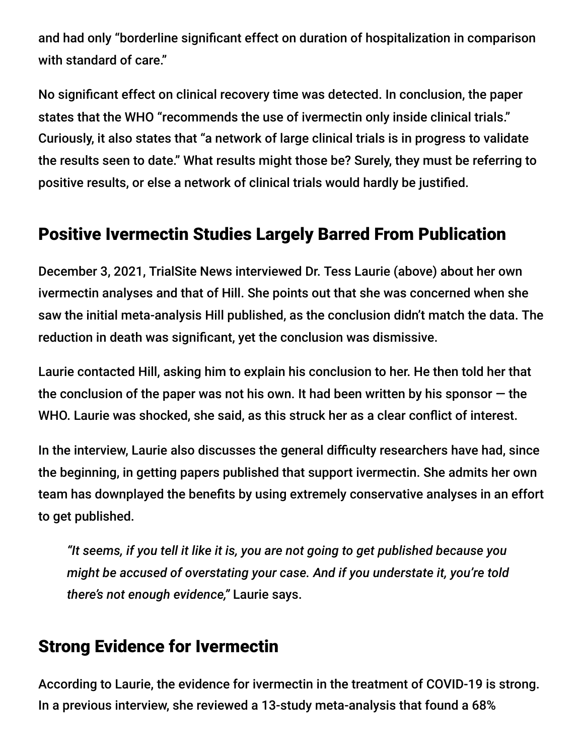and had only "borderline significant effect on duration of hospitalization in comparison with standard of care."

No significant effect on clinical recovery time was detected. In conclusion, the paper states that the WHO "recommends the use of ivermectin only inside clinical trials." Curiously, it also states that "a network of large clinical trials is in progress to validate the results seen to date." What results might those be? Surely, they must be referring to positive results, or else a network of clinical trials would hardly be justified.

## Positive Ivermectin Studies Largely Barred From Publication

December 3, 2021, TrialSite News interviewed Dr. Tess Laurie (above) about her own ivermectin analyses and that of Hill. She points out that she was concerned when she saw the initial meta-analysis Hill published, as the conclusion didn't match the data. The reduction in death was significant, yet the conclusion was dismissive.

Laurie contacted Hill, asking him to explain his conclusion to her. He then told her that the conclusion of the paper was not his own. It had been written by his sponsor  $-$  the WHO. Laurie was shocked, she said, as this struck her as a clear conflict of interest.

In the interview, Laurie also discusses the general difficulty researchers have had, since the beginning, in getting papers published that support ivermectin. She admits her own team has downplayed the benefits by using extremely conservative analyses in an effort to get published.

*"It seems, if you tell it like it is, you are not going to get published because you might be accused of overstating your case. And if you understate it, you're told there's not enough evidence,"* Laurie says.

## Strong Evidence for Ivermectin

According to Laurie, the evidence for ivermectin in the treatment of COVID-19 is strong. In a previous interview, she reviewed a 13-study meta-analysis that found a 68%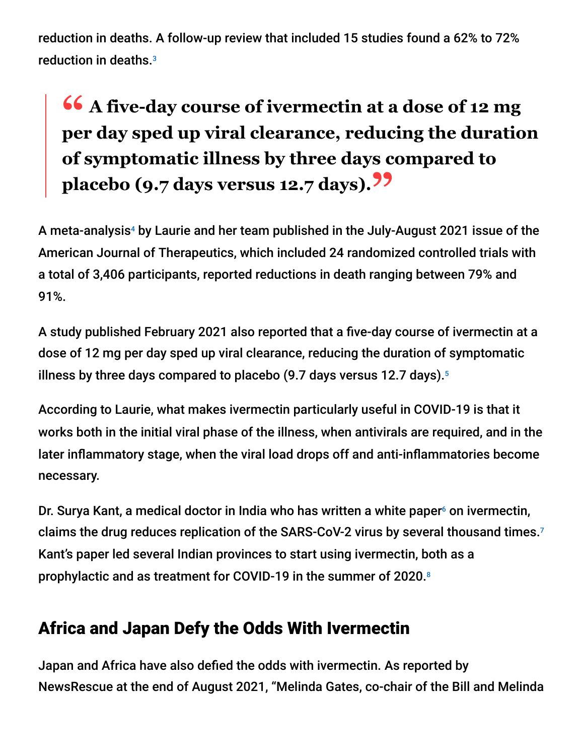reduction in deaths. A follow-up review that included 15 studies found a 62% to 72% reduction in deaths. 3

# **<sup>66</sup>** A five-day course of ivermectin at a dose of 12 mg<br>per day sped up viral clearance, reducing the duration **per day sped up viral clearance, reducing the duration of symptomatic illness by three days compared to placebo (9.7 days versus 12.7 days)."**

A meta-analysis<sup>4</sup> by Laurie and her team published in the July-August 2021 issue of the American Journal of Therapeutics, which included 24 randomized controlled trials with a total of 3,406 participants, reported reductions in death ranging between 79% and 91%.

A study published February 2021 also reported that a five-day course of ivermectin at a dose of 12 mg per day sped up viral clearance, reducing the duration of symptomatic illness by three days compared to placebo (9.7 days versus 12.7 days). 5

According to Laurie, what makes ivermectin particularly useful in COVID-19 is that it works both in the initial viral phase of the illness, when antivirals are required, and in the later inflammatory stage, when the viral load drops off and anti-inflammatories become necessary.

Dr. Surya Kant, a medical doctor in India who has written a white paper<sup>6</sup> on ivermectin, claims the drug reduces replication of the SARS-CoV-2 virus by several thousand times. 7 Kant's paper led several Indian provinces to start using ivermectin, both as a prophylactic and as treatment for COVID-19 in the summer of 2020. 8

## Africa and Japan Defy the Odds With Ivermectin

Japan and Africa have also defied the odds with ivermectin. As reported by NewsRescue at the end of August 2021, "Melinda Gates, co-chair of the Bill and Melinda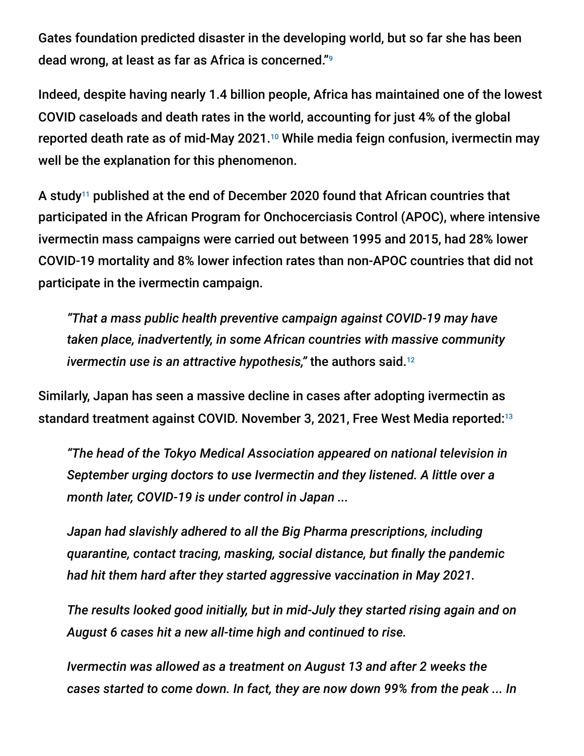Gates foundation predicted disaster in the developing world, but so far she has been dead wrong, at least as far as Africa is concerned." 9

Indeed, despite having nearly 1.4 billion people, Africa has maintained one of the lowest COVID caseloads and death rates in the world, accounting for just 4% of the global reported death rate as of mid-May 2021.<sup>10</sup> While media feign confusion, ivermectin may well be the explanation for this phenomenon.

A study $^{11}$  published at the end of December 2020 found that African countries that participated in the African Program for Onchocerciasis Control (APOC), where intensive ivermectin mass campaigns were carried out between 1995 and 2015, had 28% lower COVID-19 mortality and 8% lower infection rates than non-APOC countries that did not participate in the ivermectin campaign.

*"That a mass public health preventive campaign against COVID-19 may have taken place, inadvertently, in some African countries with massive community ivermectin use is an attractive hypothesis,"* the authors said. 12

Similarly, Japan has seen a massive decline in cases after adopting ivermectin as standard treatment against COVID. November 3, 2021, Free West Media reported:<sup>13</sup>

*"The head of the Tokyo Medical Association appeared on national television in September urging doctors to use Ivermectin and they listened. A little over a month later, COVID-19 is under control in Japan ...*

*Japan had slavishly adhered to all the Big Pharma prescriptions, including quarantine, contact tracing, masking, social distance, but finally the pandemic had hit them hard after they started aggressive vaccination in May 2021.*

*The results looked good initially, but in mid-July they started rising again and on August 6 cases hit a new all-time high and continued to rise.*

*Ivermectin was allowed as a treatment on August 13 and after 2 weeks the cases started to come down. In fact, they are now down 99% from the peak ... In*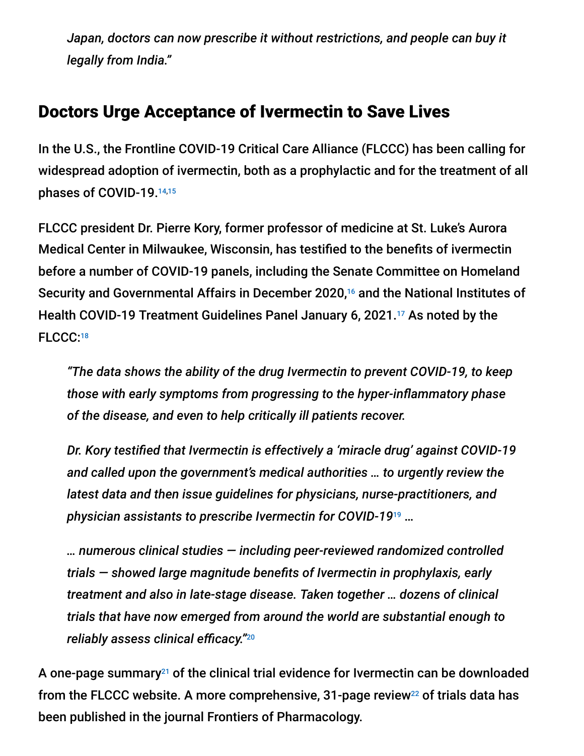*Japan, doctors can now prescribe it without restrictions, and people can buy it legally from India."*

### Doctors Urge Acceptance of Ivermectin to Save Lives

In the U.S., the Frontline COVID-19 Critical Care Alliance (FLCCC) has been calling for widespread adoption of ivermectin, both as a prophylactic and for the treatment of all phases of COVID-19. 14,15

FLCCC president Dr. Pierre Kory, former professor of medicine at St. Luke's Aurora Medical Center in Milwaukee, Wisconsin, has testified to the benefits of ivermectin before a number of COVID-19 panels, including the Senate Committee on Homeland Security and Governmental Affairs in December 2020,<sup>16</sup> and the National Institutes of Health COVID-19 Treatment Guidelines Panel January 6, 2021.<sup>17</sup> As noted by the FLCCC: 18

*"The data shows the ability of the drug Ivermectin to prevent COVID-19, to keep those with early symptoms from progressing to the hyper-inflammatory phase of the disease, and even to help critically ill patients recover.*

*Dr. Kory testified that Ivermectin is effectively a 'miracle drug' against COVID-19 and called upon the government's medical authorities … to urgently review the latest data and then issue guidelines for physicians, nurse-practitioners, and physician assistants to prescribe Ivermectin for COVID-19* … 19

*… numerous clinical studies — including peer-reviewed randomized controlled trials — showed large magnitude benefits of Ivermectin in prophylaxis, early treatment and also in late-stage disease. Taken together … dozens of clinical trials that have now emerged from around the world are substantial enough to reliably assess clinical efficacy."* 20

A one-page summary<sup>21</sup> of the clinical trial evidence for Ivermectin can be downloaded from the FLCCC website. A more comprehensive, 31-page review $^{22}$  of trials data has been published in the journal Frontiers of Pharmacology.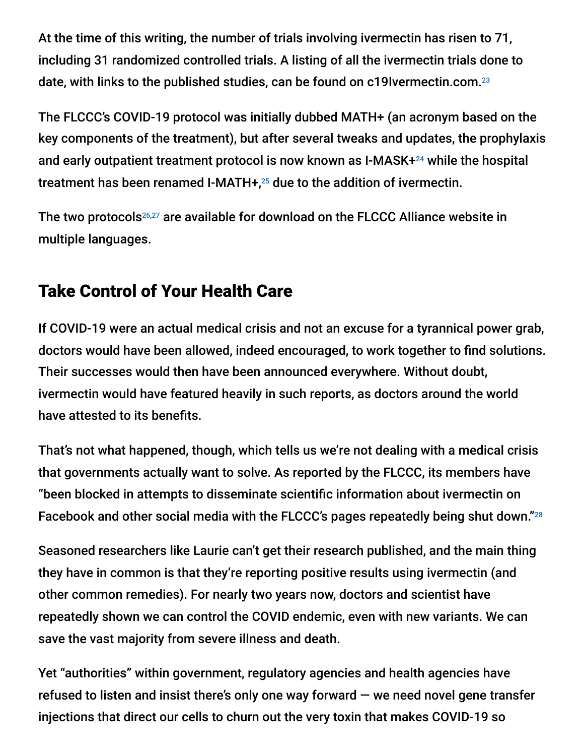At the time of this writing, the number of trials involving ivermectin has risen to 71, including 31 randomized controlled trials. A listing of all the ivermectin trials done to date, with links to the published studies, can be found on c19Ivermectin.com. 23

The FLCCC's COVID-19 protocol was initially dubbed MATH+ (an acronym based on the key components of the treatment), but after several tweaks and updates, the prophylaxis and early outpatient treatment protocol is now known as I-MASK+<sup>24</sup> while the hospital treatment has been renamed I-MATH $+$ ,<sup>25</sup> due to the addition of ivermectin.

The two protocols $26,27$  are available for download on the FLCCC Alliance website in multiple languages.

## Take Control of Your Health Care

If COVID-19 were an actual medical crisis and not an excuse for a tyrannical power grab, doctors would have been allowed, indeed encouraged, to work together to find solutions. Their successes would then have been announced everywhere. Without doubt, ivermectin would have featured heavily in such reports, as doctors around the world have attested to its benefits.

That's not what happened, though, which tells us we're not dealing with a medical crisis that governments actually want to solve. As reported by the FLCCC, its members have "been blocked in attempts to disseminate scientific information about ivermectin on Facebook and other social media with the FLCCC's pages repeatedly being shut down."28

Seasoned researchers like Laurie can't get their research published, and the main thing they have in common is that they're reporting positive results using ivermectin (and other common remedies). For nearly two years now, doctors and scientist have repeatedly shown we can control the COVID endemic, even with new variants. We can save the vast majority from severe illness and death.

Yet "authorities" within government, regulatory agencies and health agencies have refused to listen and insist there's only one way forward  $-$  we need novel gene transfer injections that direct our cells to churn out the very toxin that makes COVID-19 so